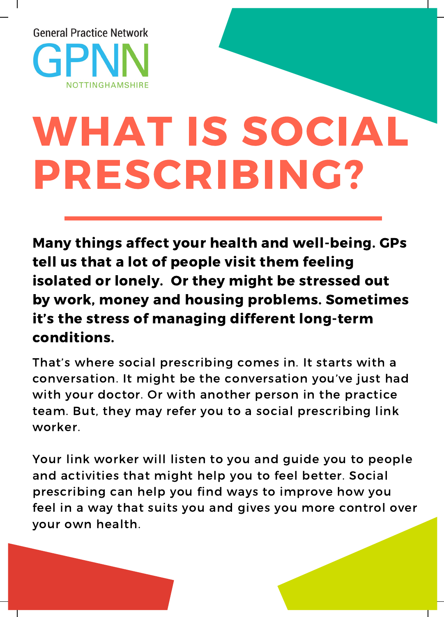

## WHAT IS SOCIAL PRESCRIBING?

Many things affect your health and well-being. GPs tell us that a lot of people visit them feeling isolated or lonely. Or they might be stressed out by work, money and housing problems. Sometimes it's the stress of managing different long-term conditions.

That's where social prescribing comes in. It starts with a conversation. It might be the conversation you've just had with your doctor. Or with another person in the practice team. But, they may refer you to a social prescribing link worker.

Your link worker will listen to you and guide you to people and activities that might help you to feel better. Social prescribing can help you find ways to improve how you feel in a way that suits you and gives you more control over your own health.